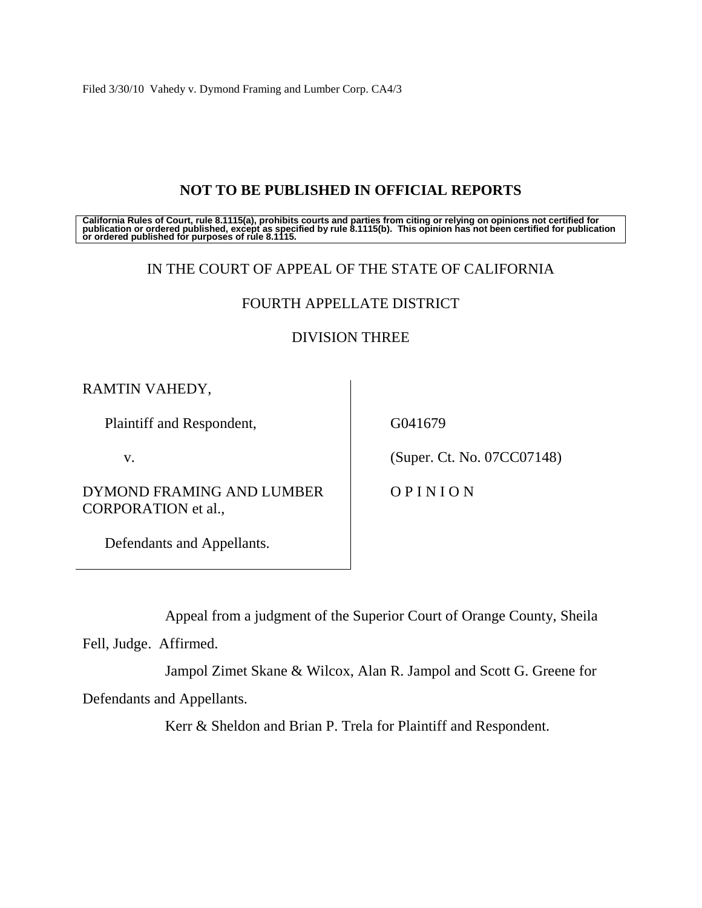Filed 3/30/10 Vahedy v. Dymond Framing and Lumber Corp. CA4/3

# **NOT TO BE PUBLISHED IN OFFICIAL REPORTS**

California Rules of Court, rule 8.1115(a), prohibits courts and parties from citing or relying on opinions not certified for<br>publication or ordered published, except as specified by rule 8.1115(b). This opinion has not be

## IN THE COURT OF APPEAL OF THE STATE OF CALIFORNIA

# FOURTH APPELLATE DISTRICT

# DIVISION THREE

RAMTIN VAHEDY,

Plaintiff and Respondent,

v.

DYMOND FRAMING AND LUMBER CORPORATION et al.,

Defendants and Appellants.

G041679

(Super. Ct. No. 07CC07148)

O P I N I O N

Appeal from a judgment of the Superior Court of Orange County, Sheila

Fell, Judge. Affirmed.

Jampol Zimet Skane & Wilcox, Alan R. Jampol and Scott G. Greene for Defendants and Appellants.

Kerr & Sheldon and Brian P. Trela for Plaintiff and Respondent.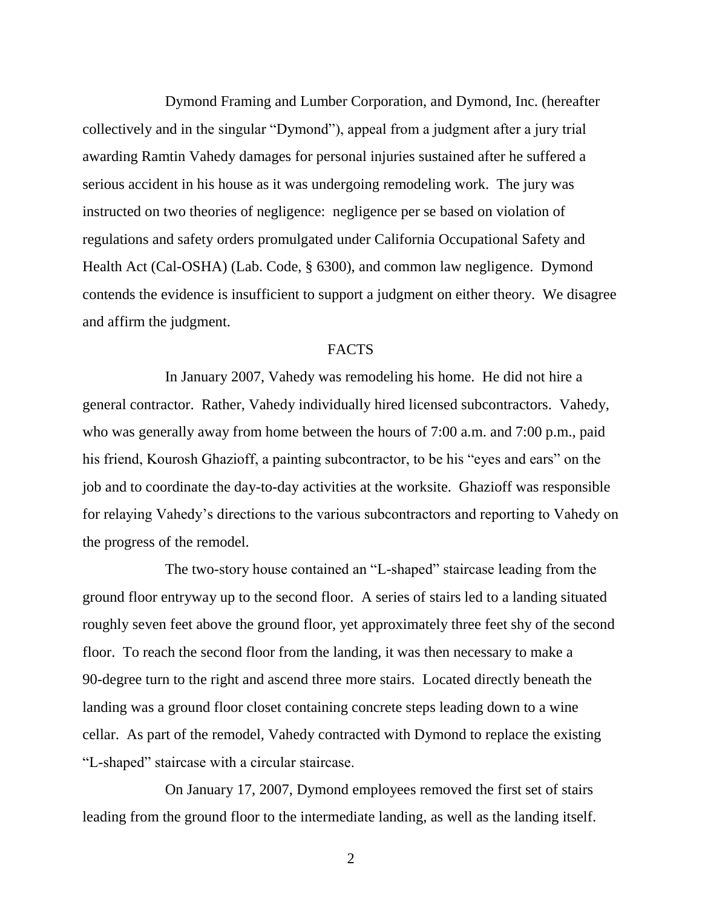Dymond Framing and Lumber Corporation, and Dymond, Inc. (hereafter collectively and in the singular "Dymond"), appeal from a judgment after a jury trial awarding Ramtin Vahedy damages for personal injuries sustained after he suffered a serious accident in his house as it was undergoing remodeling work. The jury was instructed on two theories of negligence: negligence per se based on violation of regulations and safety orders promulgated under California Occupational Safety and Health Act (Cal-OSHA) (Lab. Code, § 6300), and common law negligence. Dymond contends the evidence is insufficient to support a judgment on either theory. We disagree and affirm the judgment.

### FACTS

In January 2007, Vahedy was remodeling his home. He did not hire a general contractor. Rather, Vahedy individually hired licensed subcontractors. Vahedy, who was generally away from home between the hours of 7:00 a.m. and 7:00 p.m., paid his friend, Kourosh Ghazioff, a painting subcontractor, to be his "eyes and ears" on the job and to coordinate the day-to-day activities at the worksite. Ghazioff was responsible for relaying Vahedy"s directions to the various subcontractors and reporting to Vahedy on the progress of the remodel.

The two-story house contained an "L-shaped" staircase leading from the ground floor entryway up to the second floor. A series of stairs led to a landing situated roughly seven feet above the ground floor, yet approximately three feet shy of the second floor. To reach the second floor from the landing, it was then necessary to make a 90-degree turn to the right and ascend three more stairs. Located directly beneath the landing was a ground floor closet containing concrete steps leading down to a wine cellar. As part of the remodel, Vahedy contracted with Dymond to replace the existing "L-shaped" staircase with a circular staircase.

On January 17, 2007, Dymond employees removed the first set of stairs leading from the ground floor to the intermediate landing, as well as the landing itself.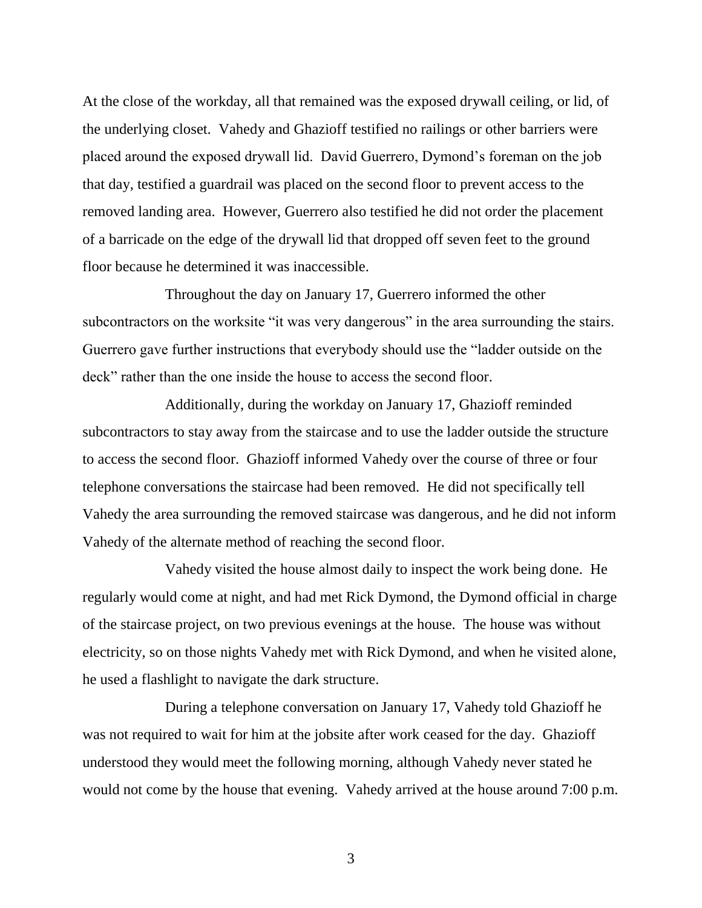At the close of the workday, all that remained was the exposed drywall ceiling, or lid, of the underlying closet. Vahedy and Ghazioff testified no railings or other barriers were placed around the exposed drywall lid. David Guerrero, Dymond"s foreman on the job that day, testified a guardrail was placed on the second floor to prevent access to the removed landing area. However, Guerrero also testified he did not order the placement of a barricade on the edge of the drywall lid that dropped off seven feet to the ground floor because he determined it was inaccessible.

Throughout the day on January 17, Guerrero informed the other subcontractors on the worksite "it was very dangerous" in the area surrounding the stairs. Guerrero gave further instructions that everybody should use the "ladder outside on the deck" rather than the one inside the house to access the second floor.

Additionally, during the workday on January 17, Ghazioff reminded subcontractors to stay away from the staircase and to use the ladder outside the structure to access the second floor. Ghazioff informed Vahedy over the course of three or four telephone conversations the staircase had been removed. He did not specifically tell Vahedy the area surrounding the removed staircase was dangerous, and he did not inform Vahedy of the alternate method of reaching the second floor.

Vahedy visited the house almost daily to inspect the work being done. He regularly would come at night, and had met Rick Dymond, the Dymond official in charge of the staircase project, on two previous evenings at the house. The house was without electricity, so on those nights Vahedy met with Rick Dymond, and when he visited alone, he used a flashlight to navigate the dark structure.

During a telephone conversation on January 17, Vahedy told Ghazioff he was not required to wait for him at the jobsite after work ceased for the day. Ghazioff understood they would meet the following morning, although Vahedy never stated he would not come by the house that evening. Vahedy arrived at the house around 7:00 p.m.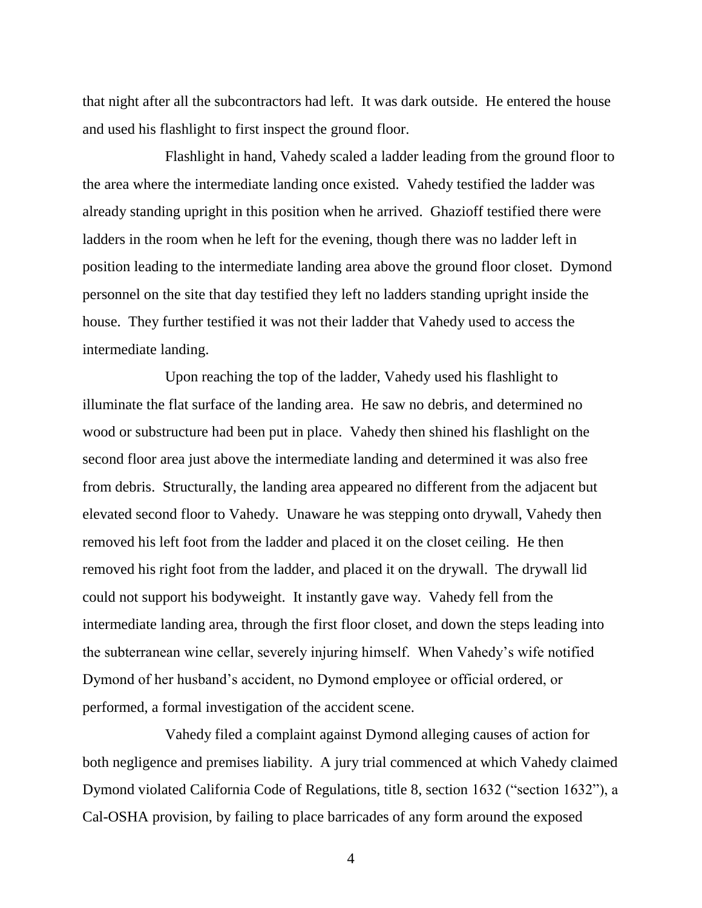that night after all the subcontractors had left. It was dark outside. He entered the house and used his flashlight to first inspect the ground floor.

Flashlight in hand, Vahedy scaled a ladder leading from the ground floor to the area where the intermediate landing once existed. Vahedy testified the ladder was already standing upright in this position when he arrived. Ghazioff testified there were ladders in the room when he left for the evening, though there was no ladder left in position leading to the intermediate landing area above the ground floor closet. Dymond personnel on the site that day testified they left no ladders standing upright inside the house. They further testified it was not their ladder that Vahedy used to access the intermediate landing.

Upon reaching the top of the ladder, Vahedy used his flashlight to illuminate the flat surface of the landing area. He saw no debris, and determined no wood or substructure had been put in place. Vahedy then shined his flashlight on the second floor area just above the intermediate landing and determined it was also free from debris. Structurally, the landing area appeared no different from the adjacent but elevated second floor to Vahedy. Unaware he was stepping onto drywall, Vahedy then removed his left foot from the ladder and placed it on the closet ceiling. He then removed his right foot from the ladder, and placed it on the drywall. The drywall lid could not support his bodyweight. It instantly gave way. Vahedy fell from the intermediate landing area, through the first floor closet, and down the steps leading into the subterranean wine cellar, severely injuring himself. When Vahedy"s wife notified Dymond of her husband"s accident, no Dymond employee or official ordered, or performed, a formal investigation of the accident scene.

Vahedy filed a complaint against Dymond alleging causes of action for both negligence and premises liability. A jury trial commenced at which Vahedy claimed Dymond violated California Code of Regulations, title 8, section 1632 ("section 1632"), a Cal-OSHA provision, by failing to place barricades of any form around the exposed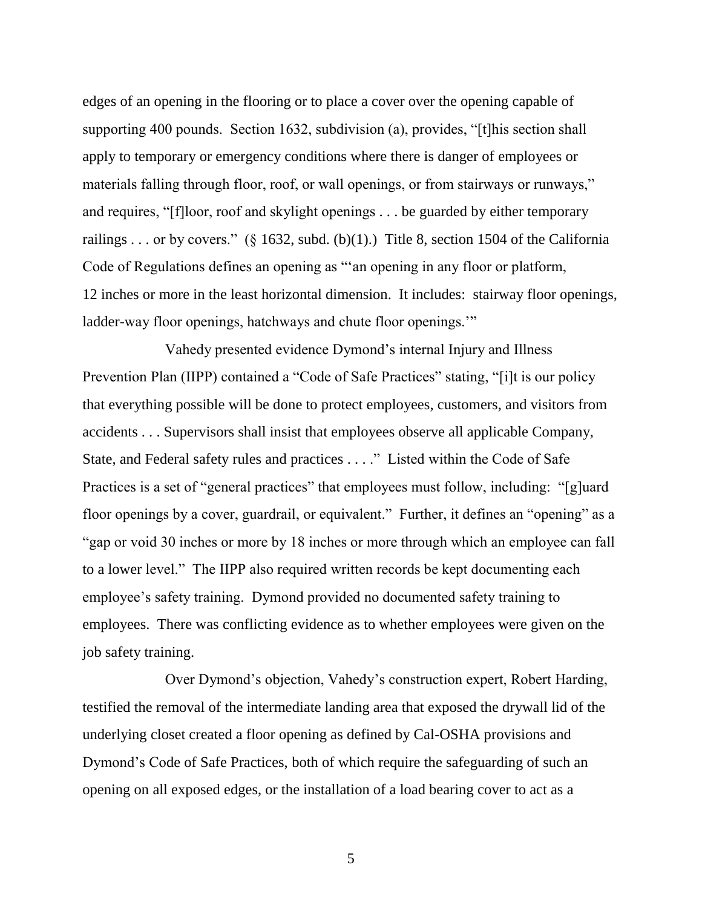edges of an opening in the flooring or to place a cover over the opening capable of supporting 400 pounds. Section 1632, subdivision (a), provides, "[t]his section shall apply to temporary or emergency conditions where there is danger of employees or materials falling through floor, roof, or wall openings, or from stairways or runways," and requires, "[f]loor, roof and skylight openings . . . be guarded by either temporary railings . . . or by covers." (§ 1632, subd. (b)(1).) Title 8, section 1504 of the California Code of Regulations defines an opening as ""an opening in any floor or platform, 12 inches or more in the least horizontal dimension. It includes: stairway floor openings, ladder-way floor openings, hatchways and chute floor openings."

Vahedy presented evidence Dymond"s internal Injury and Illness Prevention Plan (IIPP) contained a "Code of Safe Practices" stating, "[i]t is our policy that everything possible will be done to protect employees, customers, and visitors from accidents . . . Supervisors shall insist that employees observe all applicable Company, State, and Federal safety rules and practices . . . ." Listed within the Code of Safe Practices is a set of "general practices" that employees must follow, including: "[g]uard floor openings by a cover, guardrail, or equivalent." Further, it defines an "opening" as a "gap or void 30 inches or more by 18 inches or more through which an employee can fall to a lower level." The IIPP also required written records be kept documenting each employee"s safety training. Dymond provided no documented safety training to employees. There was conflicting evidence as to whether employees were given on the job safety training.

Over Dymond"s objection, Vahedy"s construction expert, Robert Harding, testified the removal of the intermediate landing area that exposed the drywall lid of the underlying closet created a floor opening as defined by Cal-OSHA provisions and Dymond"s Code of Safe Practices, both of which require the safeguarding of such an opening on all exposed edges, or the installation of a load bearing cover to act as a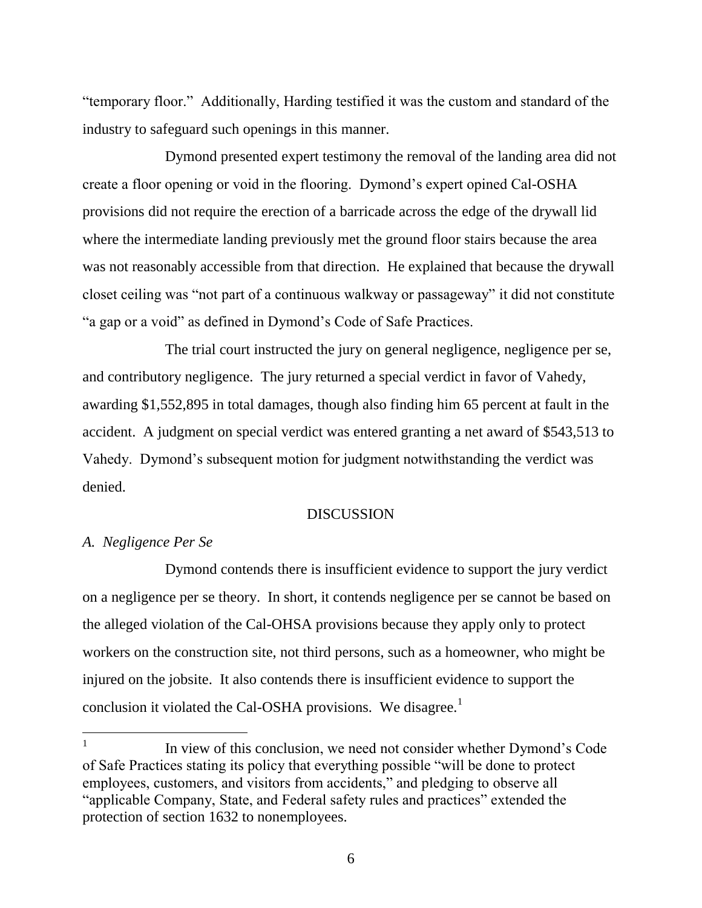"temporary floor." Additionally, Harding testified it was the custom and standard of the industry to safeguard such openings in this manner.

Dymond presented expert testimony the removal of the landing area did not create a floor opening or void in the flooring. Dymond"s expert opined Cal-OSHA provisions did not require the erection of a barricade across the edge of the drywall lid where the intermediate landing previously met the ground floor stairs because the area was not reasonably accessible from that direction. He explained that because the drywall closet ceiling was "not part of a continuous walkway or passageway" it did not constitute "a gap or a void" as defined in Dymond"s Code of Safe Practices.

The trial court instructed the jury on general negligence, negligence per se, and contributory negligence. The jury returned a special verdict in favor of Vahedy, awarding \$1,552,895 in total damages, though also finding him 65 percent at fault in the accident. A judgment on special verdict was entered granting a net award of \$543,513 to Vahedy. Dymond"s subsequent motion for judgment notwithstanding the verdict was denied.

#### **DISCUSSION**

### *A. Negligence Per Se*

Dymond contends there is insufficient evidence to support the jury verdict on a negligence per se theory. In short, it contends negligence per se cannot be based on the alleged violation of the Cal-OHSA provisions because they apply only to protect workers on the construction site, not third persons, such as a homeowner, who might be injured on the jobsite. It also contends there is insufficient evidence to support the conclusion it violated the Cal-OSHA provisions. We disagree.<sup>1</sup>

<sup>1</sup> In view of this conclusion, we need not consider whether Dymond"s Code of Safe Practices stating its policy that everything possible "will be done to protect employees, customers, and visitors from accidents," and pledging to observe all "applicable Company, State, and Federal safety rules and practices" extended the protection of section 1632 to nonemployees.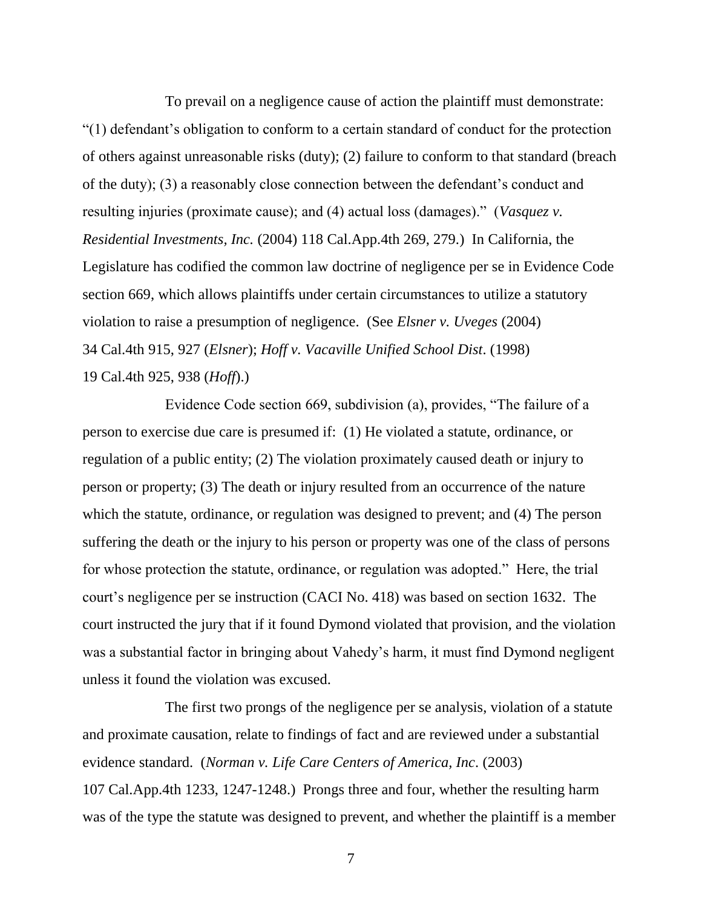To prevail on a negligence cause of action the plaintiff must demonstrate: "(1) defendant"s obligation to conform to a certain standard of conduct for the protection of others against unreasonable risks (duty); (2) failure to conform to that standard (breach of the duty); (3) a reasonably close connection between the defendant"s conduct and resulting injuries (proximate cause); and (4) actual loss (damages)." (*Vasquez v. Residential Investments, Inc.* (2004) 118 Cal.App.4th 269, 279.) In California, the Legislature has codified the common law doctrine of negligence per se in Evidence Code section 669, which allows plaintiffs under certain circumstances to utilize a statutory violation to raise a presumption of negligence. (See *Elsner v. Uveges* (2004) 34 Cal.4th 915, 927 (*Elsner*); *Hoff v. Vacaville Unified School Dist*. (1998) 19 Cal.4th 925, 938 (*Hoff*).)

Evidence Code section 669, subdivision (a), provides, "The failure of a person to exercise due care is presumed if: (1) He violated a statute, ordinance, or regulation of a public entity; (2) The violation proximately caused death or injury to person or property; (3) The death or injury resulted from an occurrence of the nature which the statute, ordinance, or regulation was designed to prevent; and (4) The person suffering the death or the injury to his person or property was one of the class of persons for whose protection the statute, ordinance, or regulation was adopted." Here, the trial court's negligence per se instruction (CACI No. 418) was based on section 1632. The court instructed the jury that if it found Dymond violated that provision, and the violation was a substantial factor in bringing about Vahedy"s harm, it must find Dymond negligent unless it found the violation was excused.

The first two prongs of the negligence per se analysis, violation of a statute and proximate causation, relate to findings of fact and are reviewed under a substantial evidence standard. (*Norman v. Life Care Centers of America, Inc*. (2003) 107 Cal.App.4th 1233, 1247-1248.) Prongs three and four, whether the resulting harm was of the type the statute was designed to prevent, and whether the plaintiff is a member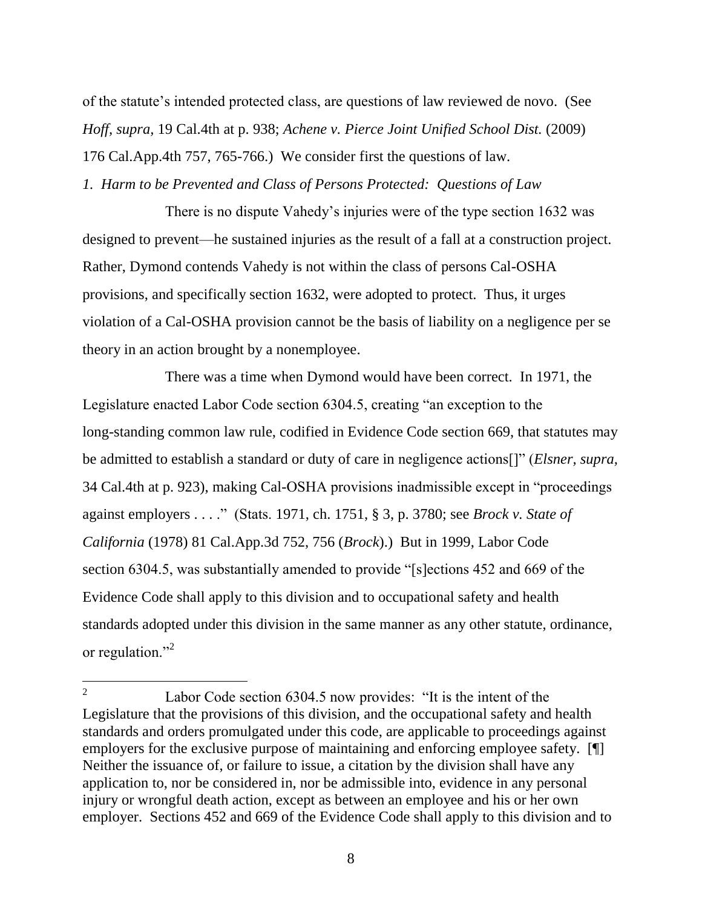of the statute"s intended protected class, are questions of law reviewed de novo. (See *Hoff, supra,* 19 Cal.4th at p. 938; *Achene v. Pierce Joint Unified School Dist.* (2009) 176 Cal.App.4th 757, 765-766.) We consider first the questions of law.

*1. Harm to be Prevented and Class of Persons Protected: Questions of Law* 

There is no dispute Vahedy"s injuries were of the type section 1632 was designed to prevent—he sustained injuries as the result of a fall at a construction project. Rather, Dymond contends Vahedy is not within the class of persons Cal-OSHA provisions, and specifically section 1632, were adopted to protect. Thus, it urges violation of a Cal-OSHA provision cannot be the basis of liability on a negligence per se theory in an action brought by a nonemployee.

There was a time when Dymond would have been correct. In 1971, the Legislature enacted Labor Code section 6304.5, creating "an exception to the long-standing common law rule, codified in Evidence Code section 669, that statutes may be admitted to establish a standard or duty of care in negligence actions[]" (*Elsner, supra,* 34 Cal.4th at p. 923), making Cal-OSHA provisions inadmissible except in "proceedings against employers . . . ." (Stats. 1971, ch. 1751, § 3, p. 3780; see *Brock v. State of California* (1978) 81 Cal.App.3d 752, 756 (*Brock*).) But in 1999, Labor Code section 6304.5, was substantially amended to provide "[s]ections 452 and 669 of the Evidence Code shall apply to this division and to occupational safety and health standards adopted under this division in the same manner as any other statute, ordinance, or regulation."<sup>2</sup>

 $\overline{a}$ 

<sup>2</sup> Labor Code section 6304.5 now provides: "It is the intent of the Legislature that the provisions of this division, and the occupational safety and health standards and orders promulgated under this code, are applicable to proceedings against employers for the exclusive purpose of maintaining and enforcing employee safety. [¶] Neither the issuance of, or failure to issue, a citation by the division shall have any application to, nor be considered in, nor be admissible into, evidence in any personal injury or wrongful death action, except as between an employee and his or her own employer. Sections 452 and 669 of the Evidence Code shall apply to this division and to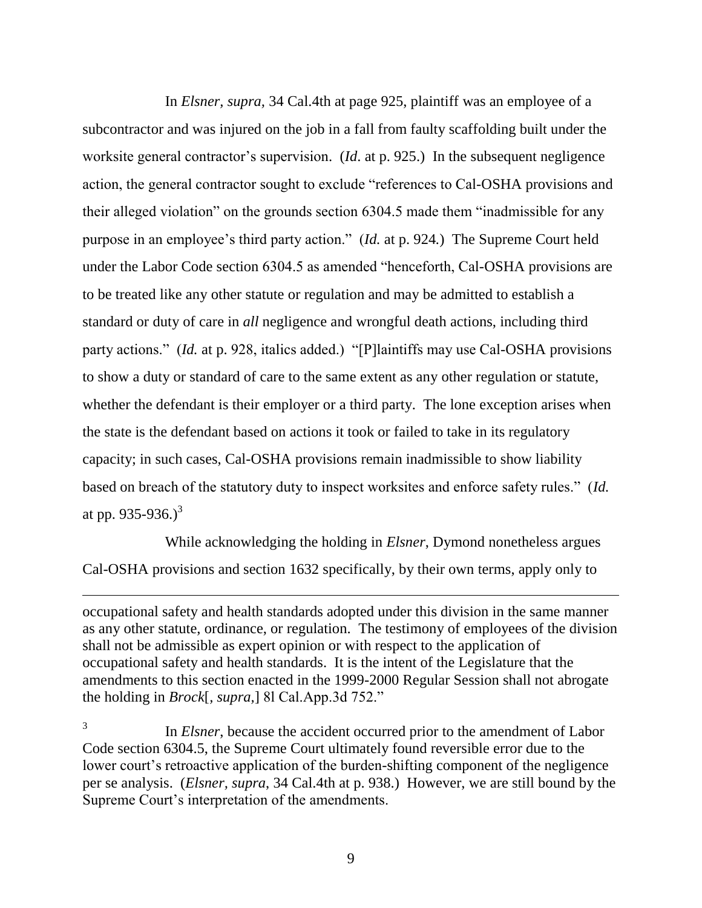In *Elsner, supra,* 34 Cal.4th at page 925, plaintiff was an employee of a subcontractor and was injured on the job in a fall from faulty scaffolding built under the worksite general contractor's supervision. (*Id.* at p. 925.) In the subsequent negligence action, the general contractor sought to exclude "references to Cal-OSHA provisions and their alleged violation" on the grounds section 6304.5 made them "inadmissible for any purpose in an employee"s third party action." (*Id.* at p. 924*.*) The Supreme Court held under the Labor Code section 6304.5 as amended "henceforth, Cal-OSHA provisions are to be treated like any other statute or regulation and may be admitted to establish a standard or duty of care in *all* negligence and wrongful death actions, including third party actions." (*Id.* at p. 928, italics added.) "[P]laintiffs may use Cal-OSHA provisions to show a duty or standard of care to the same extent as any other regulation or statute, whether the defendant is their employer or a third party. The lone exception arises when the state is the defendant based on actions it took or failed to take in its regulatory capacity; in such cases, Cal-OSHA provisions remain inadmissible to show liability based on breach of the statutory duty to inspect worksites and enforce safety rules." (*Id.* at pp. 935-936.)<sup>3</sup>

While acknowledging the holding in *Elsner*, Dymond nonetheless argues Cal-OSHA provisions and section 1632 specifically, by their own terms, apply only to

occupational safety and health standards adopted under this division in the same manner as any other statute, ordinance, or regulation. The testimony of employees of the division shall not be admissible as expert opinion or with respect to the application of occupational safety and health standards. It is the intent of the Legislature that the amendments to this section enacted in the 1999-2000 Regular Session shall not abrogate the holding in *Brock*[*, supra,*] 8l Cal.App.3d 752."

<sup>3</sup> In *Elsner*, because the accident occurred prior to the amendment of Labor Code section 6304.5, the Supreme Court ultimately found reversible error due to the lower court's retroactive application of the burden-shifting component of the negligence per se analysis. (*Elsner, supra*, 34 Cal.4th at p. 938.) However, we are still bound by the Supreme Court's interpretation of the amendments.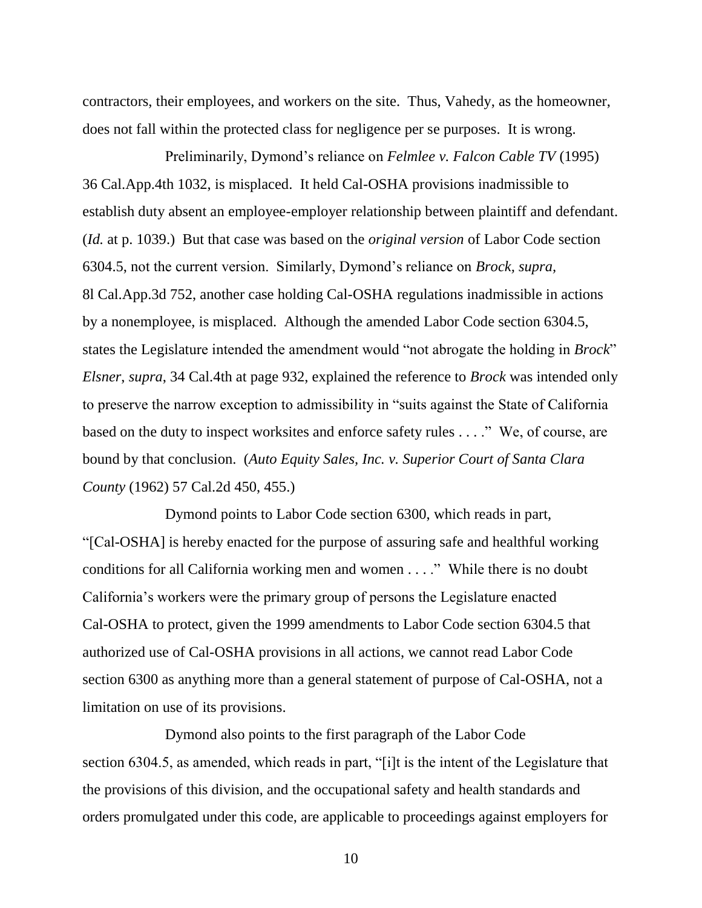contractors, their employees, and workers on the site. Thus, Vahedy, as the homeowner, does not fall within the protected class for negligence per se purposes. It is wrong.

Preliminarily, Dymond"s reliance on *Felmlee v. Falcon Cable TV* (1995) 36 Cal.App.4th 1032, is misplaced. It held Cal-OSHA provisions inadmissible to establish duty absent an employee-employer relationship between plaintiff and defendant. (*Id.* at p. 1039.) But that case was based on the *original version* of Labor Code section 6304.5, not the current version. Similarly, Dymond"s reliance on *Brock, supra,*  8l Cal.App.3d 752, another case holding Cal-OSHA regulations inadmissible in actions by a nonemployee, is misplaced. Although the amended Labor Code section 6304.5, states the Legislature intended the amendment would "not abrogate the holding in *Brock*" *Elsner*, *supra*, 34 Cal.4th at page 932, explained the reference to *Brock* was intended only to preserve the narrow exception to admissibility in "suits against the State of California based on the duty to inspect worksites and enforce safety rules . . . ." We, of course, are bound by that conclusion. (*Auto Equity Sales, Inc. v. Superior Court of Santa Clara County* (1962) 57 Cal.2d 450, 455.)

Dymond points to Labor Code section 6300, which reads in part, "[Cal-OSHA] is hereby enacted for the purpose of assuring safe and healthful working conditions for all California working men and women . . . ." While there is no doubt California"s workers were the primary group of persons the Legislature enacted Cal-OSHA to protect, given the 1999 amendments to Labor Code section 6304.5 that authorized use of Cal-OSHA provisions in all actions, we cannot read Labor Code section 6300 as anything more than a general statement of purpose of Cal-OSHA, not a limitation on use of its provisions.

Dymond also points to the first paragraph of the Labor Code section 6304.5, as amended, which reads in part, "[i]t is the intent of the Legislature that the provisions of this division, and the occupational safety and health standards and orders promulgated under this code, are applicable to proceedings against employers for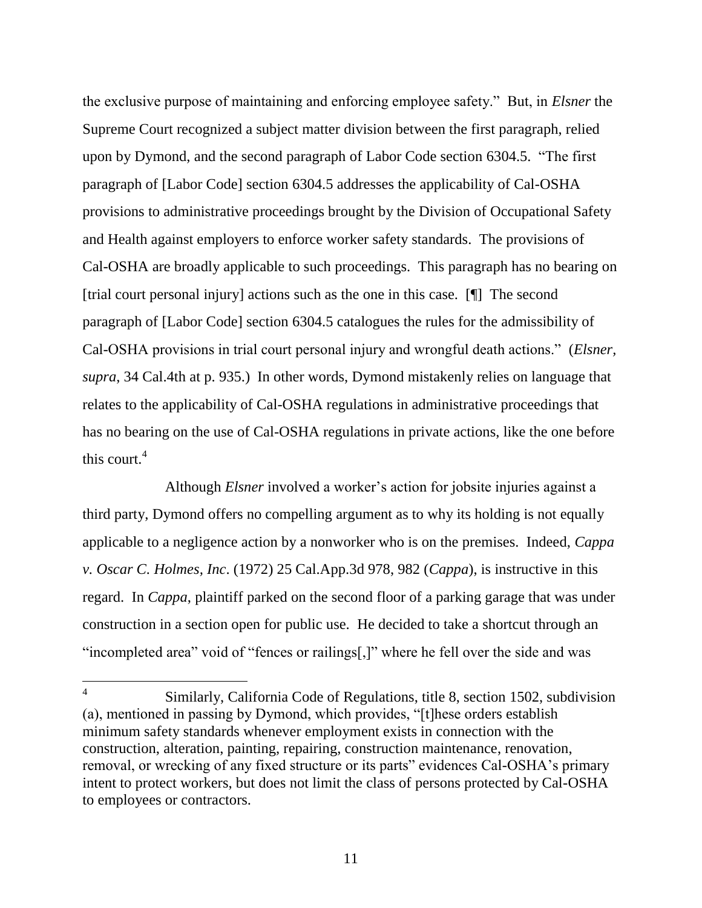the exclusive purpose of maintaining and enforcing employee safety." But, in *Elsner* the Supreme Court recognized a subject matter division between the first paragraph, relied upon by Dymond, and the second paragraph of Labor Code section 6304.5. "The first paragraph of [Labor Code] section 6304.5 addresses the applicability of Cal-OSHA provisions to administrative proceedings brought by the Division of Occupational Safety and Health against employers to enforce worker safety standards. The provisions of Cal-OSHA are broadly applicable to such proceedings. This paragraph has no bearing on [trial court personal injury] actions such as the one in this case. [¶] The second paragraph of [Labor Code] section 6304.5 catalogues the rules for the admissibility of Cal-OSHA provisions in trial court personal injury and wrongful death actions." (*Elsner, supra*, 34 Cal.4th at p. 935.) In other words, Dymond mistakenly relies on language that relates to the applicability of Cal-OSHA regulations in administrative proceedings that has no bearing on the use of Cal-OSHA regulations in private actions, like the one before this court. $4$ 

Although *Elsner* involved a worker"s action for jobsite injuries against a third party, Dymond offers no compelling argument as to why its holding is not equally applicable to a negligence action by a nonworker who is on the premises. Indeed, *Cappa v. Oscar C. Holmes, Inc*. (1972) 25 Cal.App.3d 978, 982 (*Cappa*), is instructive in this regard. In *Cappa*, plaintiff parked on the second floor of a parking garage that was under construction in a section open for public use. He decided to take a shortcut through an "incompleted area" void of "fences or railings[,]" where he fell over the side and was

 $\overline{a}$ 

<sup>4</sup> Similarly, California Code of Regulations, title 8, section 1502, subdivision (a), mentioned in passing by Dymond, which provides, "[t]hese orders establish minimum safety standards whenever employment exists in connection with the construction, alteration, painting, repairing, construction maintenance, renovation, removal, or wrecking of any fixed structure or its parts" evidences Cal-OSHA's primary intent to protect workers, but does not limit the class of persons protected by Cal-OSHA to employees or contractors.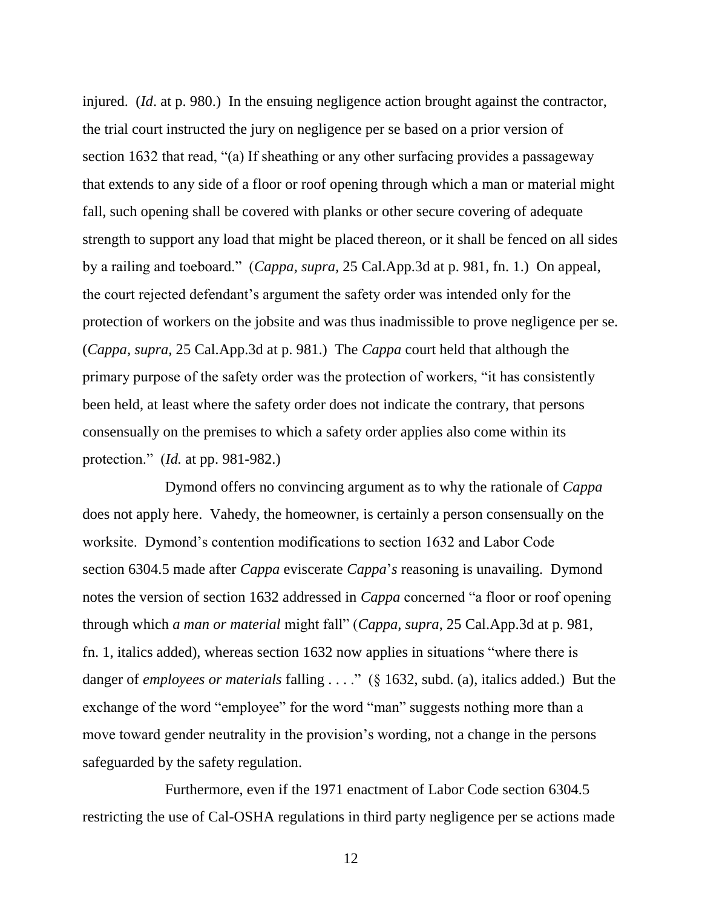injured. (*Id.* at p. 980.) In the ensuing negligence action brought against the contractor, the trial court instructed the jury on negligence per se based on a prior version of section 1632 that read, "(a) If sheathing or any other surfacing provides a passageway that extends to any side of a floor or roof opening through which a man or material might fall, such opening shall be covered with planks or other secure covering of adequate strength to support any load that might be placed thereon, or it shall be fenced on all sides by a railing and toeboard." (*Cappa, supra,* 25 Cal.App.3d at p. 981, fn. 1.) On appeal, the court rejected defendant"s argument the safety order was intended only for the protection of workers on the jobsite and was thus inadmissible to prove negligence per se. (*Cappa, supra,* 25 Cal.App.3d at p. 981.) The *Cappa* court held that although the primary purpose of the safety order was the protection of workers, "it has consistently been held, at least where the safety order does not indicate the contrary, that persons consensually on the premises to which a safety order applies also come within its protection." (*Id.* at pp. 981-982.)

Dymond offers no convincing argument as to why the rationale of *Cappa* does not apply here. Vahedy, the homeowner, is certainly a person consensually on the worksite. Dymond"s contention modifications to section 1632 and Labor Code section 6304.5 made after *Cappa* eviscerate *Cappa*"*s* reasoning is unavailing. Dymond notes the version of section 1632 addressed in *Cappa* concerned "a floor or roof opening through which *a man or material* might fall" (*Cappa, supra*, 25 Cal.App.3d at p. 981, fn. 1, italics added), whereas section 1632 now applies in situations "where there is danger of *employees or materials* falling . . . ." (§ 1632, subd. (a), italics added.) But the exchange of the word "employee" for the word "man" suggests nothing more than a move toward gender neutrality in the provision"s wording, not a change in the persons safeguarded by the safety regulation.

Furthermore, even if the 1971 enactment of Labor Code section 6304.5 restricting the use of Cal-OSHA regulations in third party negligence per se actions made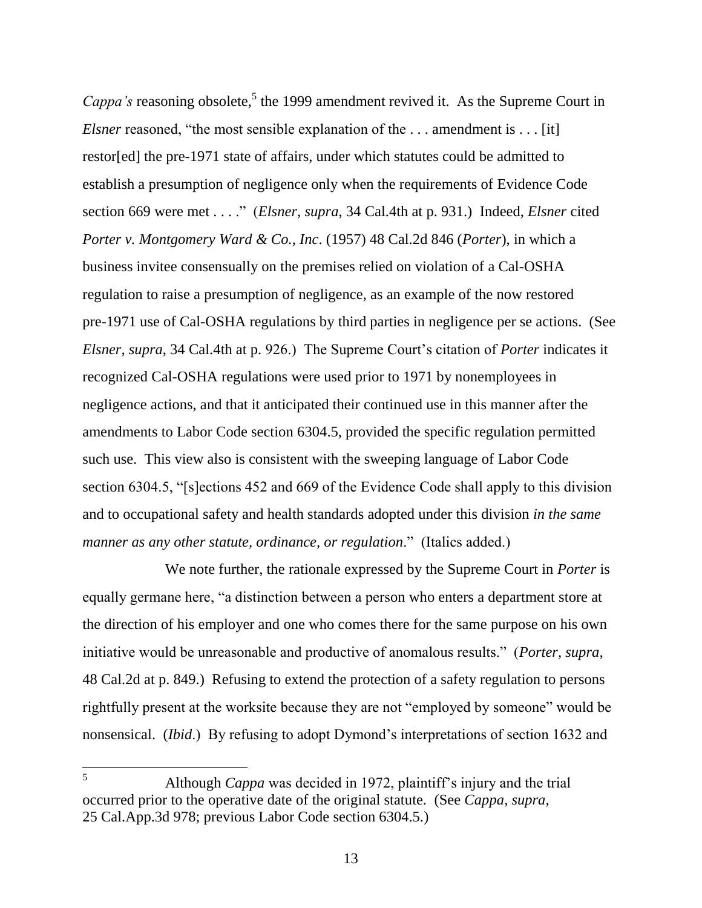*Cappa's* reasoning obsolete,<sup>5</sup> the 1999 amendment revived it. As the Supreme Court in *Elsner* reasoned, "the most sensible explanation of the ... amendment is ... [it] restor[ed] the pre-1971 state of affairs, under which statutes could be admitted to establish a presumption of negligence only when the requirements of Evidence Code section 669 were met . . . ." (*Elsner*, *supra*, 34 Cal.4th at p. 931.) Indeed, *Elsner* cited *Porter v. Montgomery Ward & Co., Inc*. (1957) 48 Cal.2d 846 (*Porter*), in which a business invitee consensually on the premises relied on violation of a Cal-OSHA regulation to raise a presumption of negligence, as an example of the now restored pre-1971 use of Cal-OSHA regulations by third parties in negligence per se actions. (See *Elsner, supra,* 34 Cal.4th at p. 926.) The Supreme Court's citation of *Porter* indicates it recognized Cal-OSHA regulations were used prior to 1971 by nonemployees in negligence actions, and that it anticipated their continued use in this manner after the amendments to Labor Code section 6304.5, provided the specific regulation permitted such use. This view also is consistent with the sweeping language of Labor Code section 6304.5, "[s]ections 452 and 669 of the Evidence Code shall apply to this division and to occupational safety and health standards adopted under this division *in the same manner as any other statute, ordinance, or regulation*." (Italics added.)

We note further, the rationale expressed by the Supreme Court in *Porter* is equally germane here, "a distinction between a person who enters a department store at the direction of his employer and one who comes there for the same purpose on his own initiative would be unreasonable and productive of anomalous results." (*Porter, supra,*  48 Cal.2d at p. 849.) Refusing to extend the protection of a safety regulation to persons rightfully present at the worksite because they are not "employed by someone" would be nonsensical. (*Ibid*.) By refusing to adopt Dymond"s interpretations of section 1632 and

 $5<sup>1</sup>$ <sup>5</sup> Although *Cappa* was decided in 1972, plaintiff"s injury and the trial occurred prior to the operative date of the original statute. (See *Cappa, supra*, 25 Cal.App.3d 978; previous Labor Code section 6304.5.)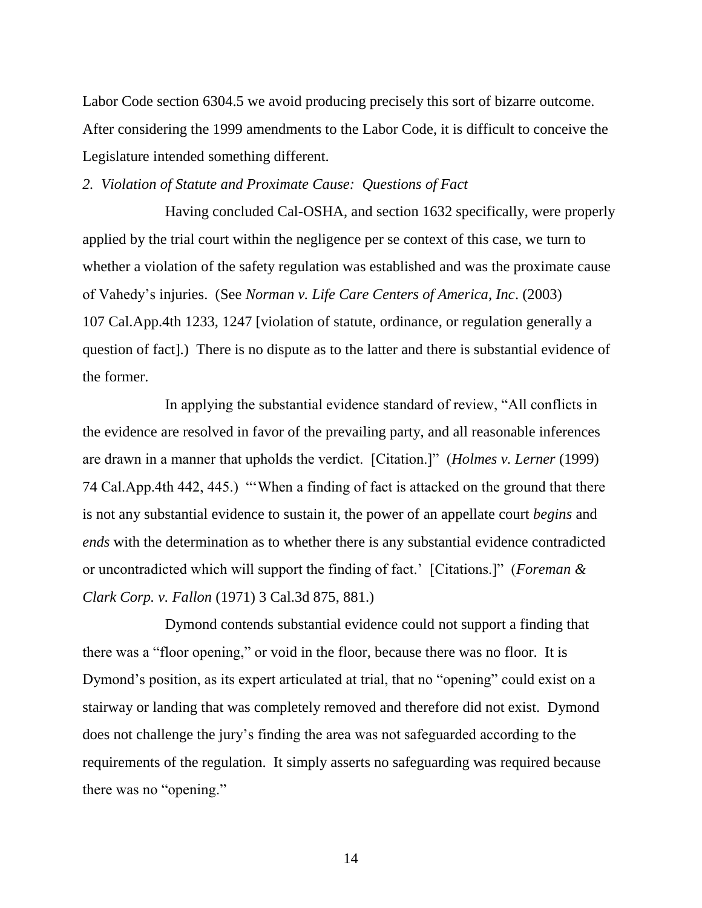Labor Code section 6304.5 we avoid producing precisely this sort of bizarre outcome. After considering the 1999 amendments to the Labor Code, it is difficult to conceive the Legislature intended something different.

*2. Violation of Statute and Proximate Cause: Questions of Fact* 

Having concluded Cal-OSHA, and section 1632 specifically, were properly applied by the trial court within the negligence per se context of this case, we turn to whether a violation of the safety regulation was established and was the proximate cause of Vahedy"s injuries. (See *Norman v. Life Care Centers of America, Inc*. (2003) 107 Cal.App.4th 1233, 1247 [violation of statute, ordinance, or regulation generally a question of fact].) There is no dispute as to the latter and there is substantial evidence of the former.

In applying the substantial evidence standard of review, "All conflicts in the evidence are resolved in favor of the prevailing party, and all reasonable inferences are drawn in a manner that upholds the verdict. [Citation.]" (*Holmes v. Lerner* (1999) 74 Cal.App.4th 442, 445.) ""When a finding of fact is attacked on the ground that there is not any substantial evidence to sustain it, the power of an appellate court *begins* and *ends* with the determination as to whether there is any substantial evidence contradicted or uncontradicted which will support the finding of fact." [Citations.]" (*Foreman & Clark Corp. v. Fallon* (1971) 3 Cal.3d 875, 881.)

Dymond contends substantial evidence could not support a finding that there was a "floor opening," or void in the floor, because there was no floor. It is Dymond"s position, as its expert articulated at trial, that no "opening" could exist on a stairway or landing that was completely removed and therefore did not exist. Dymond does not challenge the jury"s finding the area was not safeguarded according to the requirements of the regulation. It simply asserts no safeguarding was required because there was no "opening."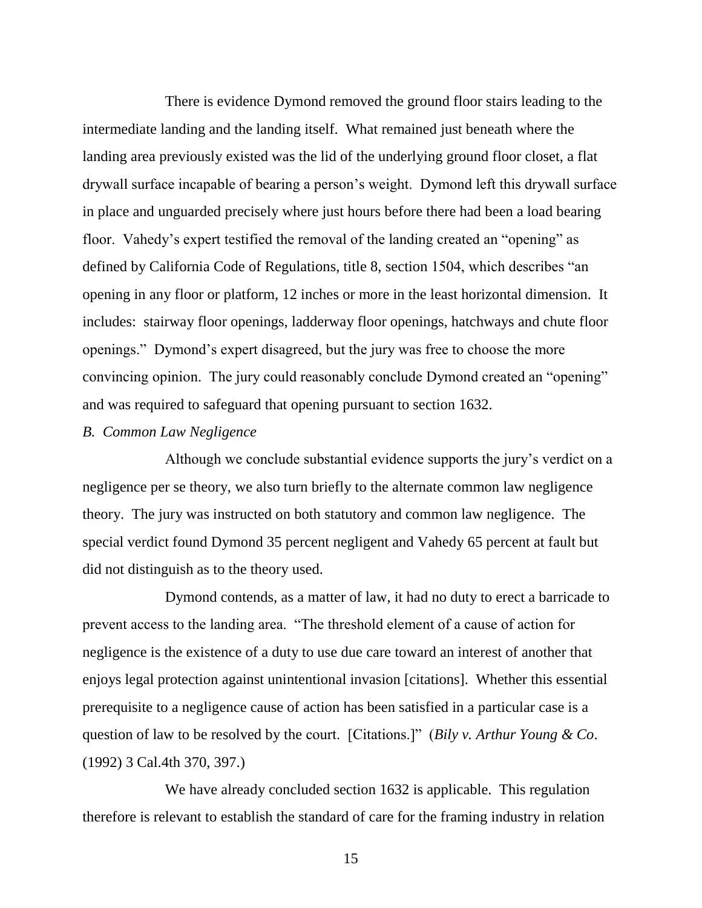There is evidence Dymond removed the ground floor stairs leading to the intermediate landing and the landing itself. What remained just beneath where the landing area previously existed was the lid of the underlying ground floor closet, a flat drywall surface incapable of bearing a person"s weight. Dymond left this drywall surface in place and unguarded precisely where just hours before there had been a load bearing floor. Vahedy"s expert testified the removal of the landing created an "opening" as defined by California Code of Regulations, title 8, section 1504, which describes "an opening in any floor or platform, 12 inches or more in the least horizontal dimension. It includes: stairway floor openings, ladderway floor openings, hatchways and chute floor openings." Dymond"s expert disagreed, but the jury was free to choose the more convincing opinion. The jury could reasonably conclude Dymond created an "opening" and was required to safeguard that opening pursuant to section 1632.

#### *B. Common Law Negligence*

Although we conclude substantial evidence supports the jury"s verdict on a negligence per se theory, we also turn briefly to the alternate common law negligence theory. The jury was instructed on both statutory and common law negligence. The special verdict found Dymond 35 percent negligent and Vahedy 65 percent at fault but did not distinguish as to the theory used.

Dymond contends, as a matter of law, it had no duty to erect a barricade to prevent access to the landing area. "The threshold element of a cause of action for negligence is the existence of a duty to use due care toward an interest of another that enjoys legal protection against unintentional invasion [citations]. Whether this essential prerequisite to a negligence cause of action has been satisfied in a particular case is a question of law to be resolved by the court. [Citations.]" (*Bily v. Arthur Young & Co*. (1992) 3 Cal.4th 370, 397.)

We have already concluded section 1632 is applicable. This regulation therefore is relevant to establish the standard of care for the framing industry in relation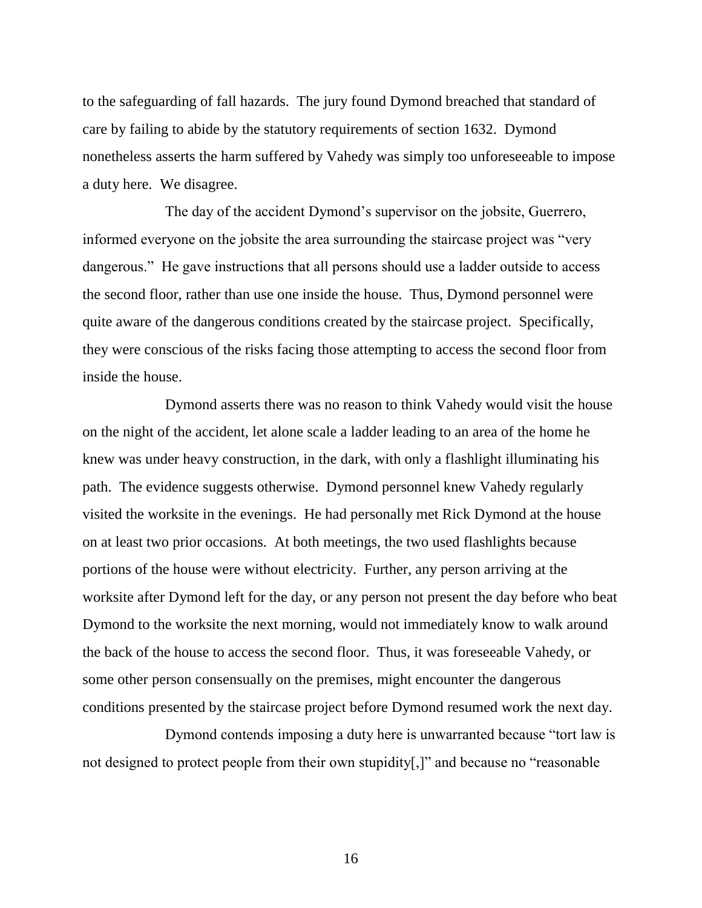to the safeguarding of fall hazards. The jury found Dymond breached that standard of care by failing to abide by the statutory requirements of section 1632. Dymond nonetheless asserts the harm suffered by Vahedy was simply too unforeseeable to impose a duty here. We disagree.

The day of the accident Dymond"s supervisor on the jobsite, Guerrero, informed everyone on the jobsite the area surrounding the staircase project was "very dangerous." He gave instructions that all persons should use a ladder outside to access the second floor, rather than use one inside the house. Thus, Dymond personnel were quite aware of the dangerous conditions created by the staircase project. Specifically, they were conscious of the risks facing those attempting to access the second floor from inside the house.

Dymond asserts there was no reason to think Vahedy would visit the house on the night of the accident, let alone scale a ladder leading to an area of the home he knew was under heavy construction, in the dark, with only a flashlight illuminating his path. The evidence suggests otherwise. Dymond personnel knew Vahedy regularly visited the worksite in the evenings. He had personally met Rick Dymond at the house on at least two prior occasions. At both meetings, the two used flashlights because portions of the house were without electricity. Further, any person arriving at the worksite after Dymond left for the day, or any person not present the day before who beat Dymond to the worksite the next morning, would not immediately know to walk around the back of the house to access the second floor. Thus, it was foreseeable Vahedy, or some other person consensually on the premises, might encounter the dangerous conditions presented by the staircase project before Dymond resumed work the next day.

Dymond contends imposing a duty here is unwarranted because "tort law is not designed to protect people from their own stupidity[,]" and because no "reasonable